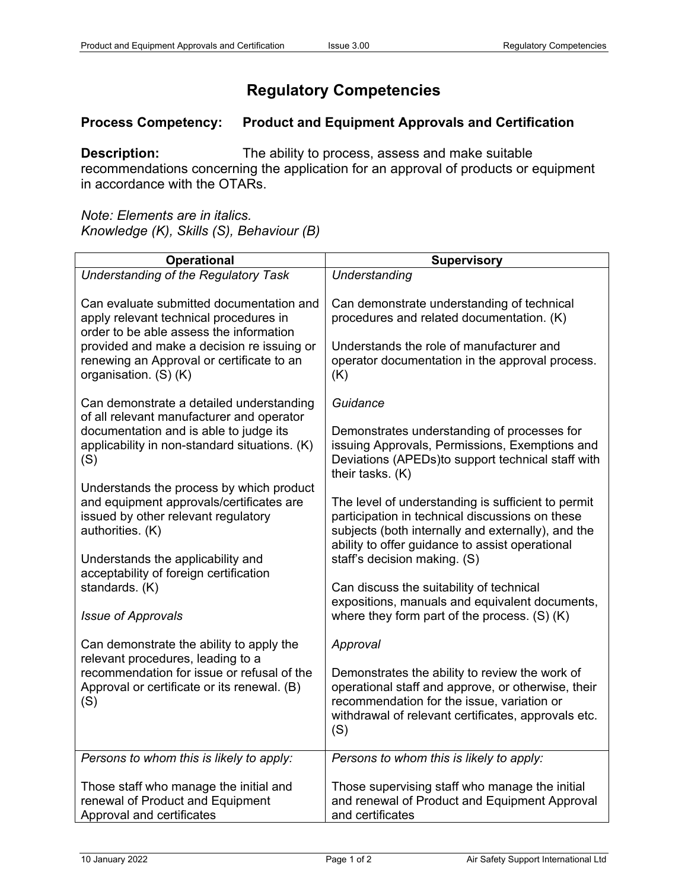## **Regulatory Competencies**

## **Process Competency: Product and Equipment Approvals and Certification**

**Description:** The ability to process, assess and make suitable recommendations concerning the application for an approval of products or equipment in accordance with the OTARs.

*Note: Elements are in italics. Knowledge (K), Skills (S), Behaviour (B)*

| <b>Operational</b>                                                                                                                                                                                                                                | <b>Supervisory</b>                                                                                                                                                                                                                             |
|---------------------------------------------------------------------------------------------------------------------------------------------------------------------------------------------------------------------------------------------------|------------------------------------------------------------------------------------------------------------------------------------------------------------------------------------------------------------------------------------------------|
| Understanding of the Regulatory Task                                                                                                                                                                                                              | Understanding                                                                                                                                                                                                                                  |
| Can evaluate submitted documentation and<br>apply relevant technical procedures in<br>order to be able assess the information<br>provided and make a decision re issuing or<br>renewing an Approval or certificate to an<br>organisation. (S) (K) | Can demonstrate understanding of technical<br>procedures and related documentation. (K)<br>Understands the role of manufacturer and<br>operator documentation in the approval process.<br>(K)                                                  |
| Can demonstrate a detailed understanding<br>of all relevant manufacturer and operator<br>documentation and is able to judge its<br>applicability in non-standard situations. (K)<br>(S)                                                           | Guidance<br>Demonstrates understanding of processes for<br>issuing Approvals, Permissions, Exemptions and<br>Deviations (APEDs)to support technical staff with<br>their tasks. (K)                                                             |
| Understands the process by which product<br>and equipment approvals/certificates are<br>issued by other relevant regulatory<br>authorities. (K)<br>Understands the applicability and                                                              | The level of understanding is sufficient to permit<br>participation in technical discussions on these<br>subjects (both internally and externally), and the<br>ability to offer guidance to assist operational<br>staff's decision making. (S) |
| acceptability of foreign certification<br>standards. (K)                                                                                                                                                                                          | Can discuss the suitability of technical<br>expositions, manuals and equivalent documents,                                                                                                                                                     |
| <b>Issue of Approvals</b>                                                                                                                                                                                                                         | where they form part of the process. $(S)$ (K)                                                                                                                                                                                                 |
| Can demonstrate the ability to apply the<br>relevant procedures, leading to a<br>recommendation for issue or refusal of the<br>Approval or certificate or its renewal. (B)<br>(S)                                                                 | Approval<br>Demonstrates the ability to review the work of<br>operational staff and approve, or otherwise, their<br>recommendation for the issue, variation or<br>withdrawal of relevant certificates, approvals etc.<br>(S)                   |
| Persons to whom this is likely to apply:<br>Those staff who manage the initial and<br>renewal of Product and Equipment<br>Approval and certificates                                                                                               | Persons to whom this is likely to apply:<br>Those supervising staff who manage the initial<br>and renewal of Product and Equipment Approval<br>and certificates                                                                                |